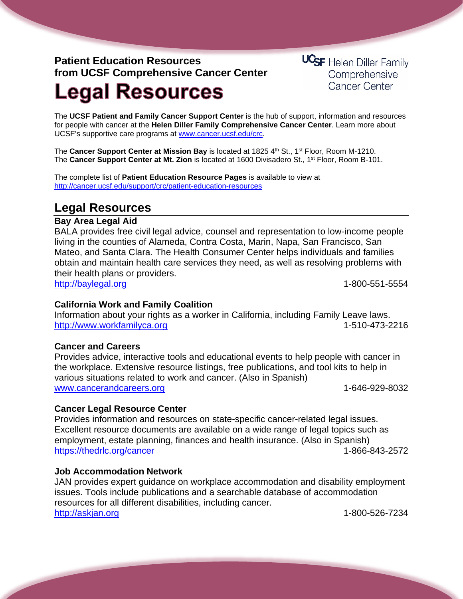## **Patient Education Resources from UCSF Comprehensive Cancer Center**

**UCSF** Helen Diller Family Comprehensive **Cancer Center** 

# **Legal Resources**

The **UCSF Patient and Family Cancer Support Center** is the hub of support, information and resources for people with cancer at the **Helen Diller Family Comprehensive Cancer Center**. Learn more about UCSF's supportive care programs at [www.cancer.ucsf.edu/crc.](http://www.cancer.ucsf.edu/crc)

The **Cancer Support Center at Mission Bay** is located at 1825 4th St., 1<sup>st</sup> Floor, Room M-1210. The **Cancer Support Center at Mt. Zion** is located at 1600 Divisadero St., 1st Floor, Room B-101.

The complete list of **Patient Education Resource Pages** is available to view at <http://cancer.ucsf.edu/support/crc/patient-education-resources>

### **Legal Resources**

#### **Bay Area Legal Aid**

BALA provides free civil legal advice, counsel and representation to low-income people living in the counties of Alameda, Contra Costa, Marin, Napa, San Francisco, San Mateo, and Santa Clara. The Health Consumer Center helps individuals and families obtain and maintain health care services they need, as well as resolving problems with their health plans or providers.

[http://baylegal.org](http://baylegal.org/) 1-800-551-5554

#### **California Work and Family Coalition**

Information about your rights as a worker in California, including Family Leave laws. [http://www.workfamilyca.org](http://www.workfamilyca.org/) 1-510-473-2216

#### **Cancer and Careers**

Provides advice, interactive tools and educational events to help people with cancer in the workplace. Extensive resource listings, free publications, and tool kits to help in various situations related to work and cancer. (Also in Spanish) [www.cancerandcareers.org](http://www.cancerandcareers.org/) 1-646-929-8032

#### **Cancer Legal Resource Center**

Provides information and resources on state-specific cancer-related legal issues. Excellent resource documents are available on a wide range of legal topics such as employment, estate planning, finances and health insurance. (Also in Spanish) <https://thedrlc.org/cancer> 1-866-843-2572

#### **Job Accommodation Network**

JAN provides expert guidance on workplace accommodation and disability employment issues. Tools include publications and a searchable database of accommodation resources for all different disabilities, including cancer. [http://askjan.org](http://askjan.org/) 1-800-526-7234